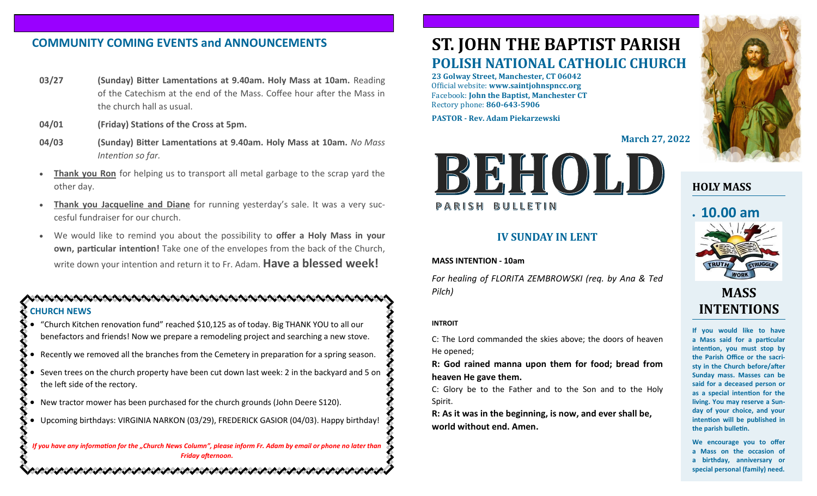# **COMMUNITY COMING EVENTS and ANNOUNCEMENTS**

- **03/27 (Sunday) Bitter Lamentations at 9.40am. Holy Mass at 10am.** Reading of the Catechism at the end of the Mass. Coffee hour after the Mass in the church hall as usual.
- **04/01 (Friday) Stations of the Cross at 5pm.**
- **04/03 (Sunday) Bitter Lamentations at 9.40am. Holy Mass at 10am.** *No Mass Intention so far.*
- **Thank you Ron** for helping us to transport all metal garbage to the scrap yard the other day.
- **Thank you Jacqueline and Diane** for running yesterday's sale. It was a very succesful fundraiser for our church.
- We would like to remind you about the possibility to **offer a Holy Mass in your own, particular intention!** Take one of the envelopes from the back of the Church, write down your intention and return it to Fr. Adam. **Have a blessed week!**

### **CHURCH NEWS**

- "Church Kitchen renovation fund" reached \$10,125 as of today. Big THANK YOU to all our benefactors and friends! Now we prepare a remodeling project and searching a new stove.
- Recently we removed all the branches from the Cemetery in preparation for a spring season.
- Seven trees on the church property have been cut down last week: 2 in the backyard and 5 on the left side of the rectory.
- New tractor mower has been purchased for the church grounds (John Deere S120).
- Upcoming birthdays: VIRGINIA NARKON (03/29), FREDERICK GASIOR (04/03). Happy birthday!

*If you have any information for the "Church News Column", please inform Fr. Adam by email or phone no later than Friday afternoon.*

いんけいかいかいかいかい かいかいかいかいかい いいいかいかいか

# **ST. JOHN THE BAPTIST PARISH POLISH NATIONAL CATHOLIC CHURCH**

**23 Golway Street, Manchester, CT 06042** Official website: **www.saintjohnspncc.org** Facebook: **John the Baptist, Manchester CT** Rectory phone: **860-643-5906** 

**PASTOR - Rev. Adam Piekarzewski**

**March 27, 2022**



### **IV SUNDAY IN LENT**

#### **MASS INTENTION - 10am**

*For healing of FLORITA ZEMBROWSKI (req. by Ana & Ted Pilch)*

#### **INTROIT**

C: The Lord commanded the skies above; the doors of heaven He opened;

**R: God rained manna upon them for food; bread from heaven He gave them.**

C: Glory be to the Father and to the Son and to the Holy Spirit.

**R: As it was in the beginning, is now, and ever shall be, world without end. Amen.**



## **HOLY MASS**

# • **10.00 am**



# **MASS INTENTIONS**

**If you would like to have a Mass said for a particular intention, you must stop by the Parish Office or the sacristy in the Church before/after Sunday mass. Masses can be said for a deceased person or as a special intention for the living. You may reserve a Sunday of your choice, and your intention will be published in the parish bulletin.**

**We encourage you to offer a Mass on the occasion of a birthday, anniversary or special personal (family) need.**